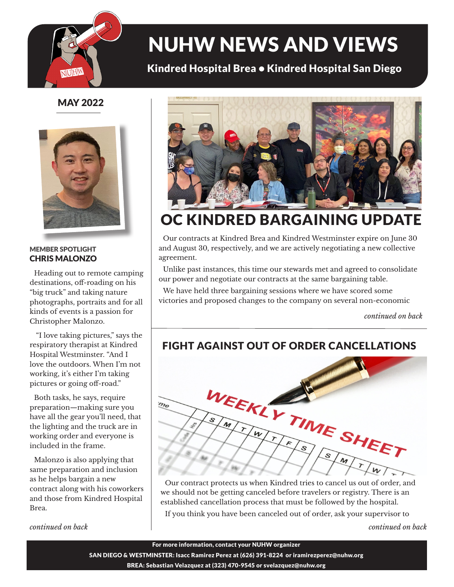

# NUHW NEWS AND VIEWS

### Kindred Hospital Brea • Kindred Hospital San Diego

MAY 2022



#### MEMBER SPOTLIGHT CHRIS MALONZO

Heading out to remote camping destinations, off-roading on his "big truck" and taking nature photographs, portraits and for all kinds of events is a passion for Christopher Malonzo.

 "I love taking pictures," says the respiratory therapist at Kindred Hospital Westminster. "And I love the outdoors. When I'm not working, it's either I'm taking pictures or going off-road."

Both tasks, he says, require preparation—making sure you have all the gear you'll need, that the lighting and the truck are in working order and everyone is included in the frame.

Malonzo is also applying that same preparation and inclusion as he helps bargain a new contract along with his coworkers and those from Kindred Hospital Brea.

*continued on back*



## OC KINDRED BARGAINING UPDATE

Our contracts at Kindred Brea and Kindred Westminster expire on June 30 and August 30, respectively, and we are actively negotiating a new collective agreement.

Unlike past instances, this time our stewards met and agreed to consolidate our power and negotiate our contracts at the same bargaining table.

We have held three bargaining sessions where we have scored some victories and proposed changes to the company on several non-economic

*continued on back*

### FIGHT AGAINST OUT OF ORDER CANCELLATIONS



Our contract protects us when Kindred tries to cancel us out of order, and we should not be getting canceled before travelers or registry. There is an established cancellation process that must be followed by the hospital.

If you think you have been canceled out of order, ask your supervisor to

*continued on back*

For more information, contact your NUHW organizer

SAN DIEGO & WESTMINSTER: Isacc Ramirez Perez at (626) 391-8224 or iramirezperez@nuhw.org BREA: Sebastian Velazquez at (323) 470-9545 or svelazquez@nuhw.org